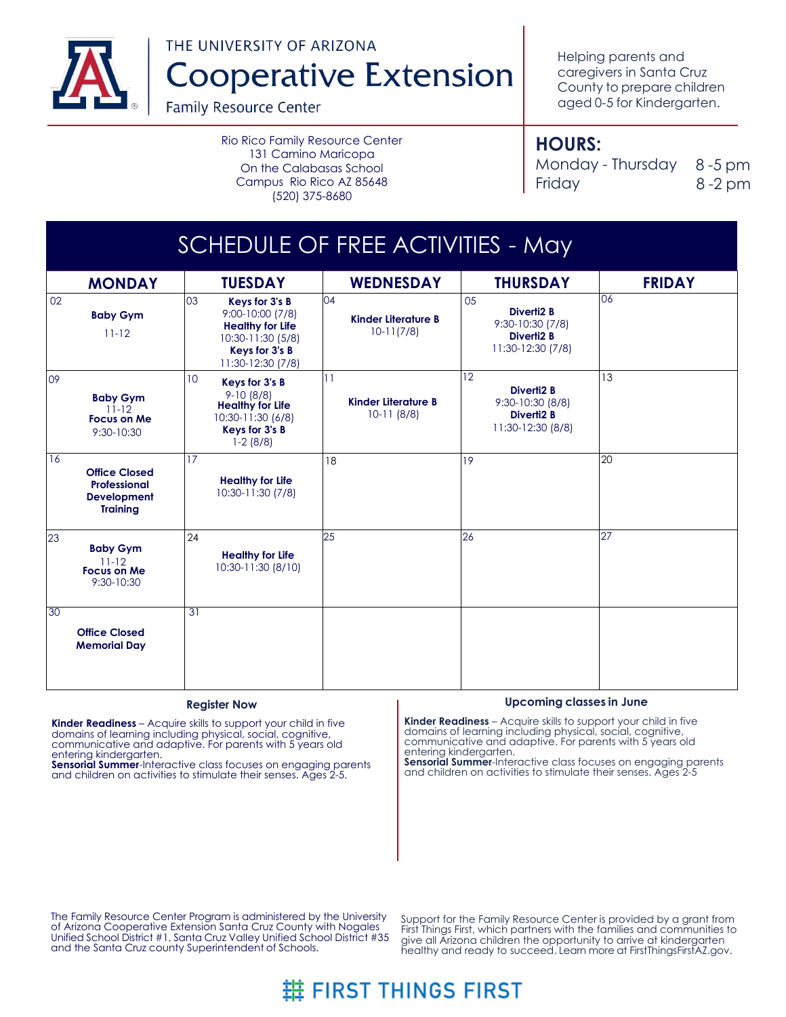

THE UNIVERSITY OF ARIZONA **Cooperative Extension** 

**Family Resource Center** 

Rio Rico Family Resource Center 131 Camino Maricopa On the Calabasas School Campus Rio Rico AZ 85648 (520) 375-8680

Helping parents and caregivers in Santa Cruz County to prepare children aged 0-5 for Kindergarten.

## **HOURS:**

Monday - Thursday 8-5 pm Friday 8 -2 pm

| SCHEDULE OF FREE ACTIVITIES - May |                                                                               |                                                                                                                                 |                                                  |                                                                                |               |  |  |  |
|-----------------------------------|-------------------------------------------------------------------------------|---------------------------------------------------------------------------------------------------------------------------------|--------------------------------------------------|--------------------------------------------------------------------------------|---------------|--|--|--|
|                                   | <b>MONDAY</b>                                                                 | <b>TUESDAY</b>                                                                                                                  | <b>WEDNESDAY</b>                                 | <b>THURSDAY</b>                                                                | <b>FRIDAY</b> |  |  |  |
| 02                                | <b>Baby Gym</b><br>$11 - 12$                                                  | 03<br>Keys for 3's B<br>9:00-10:00 (7/8)<br><b>Healthy for Life</b><br>10:30-11:30 (5/8)<br>Keys for 3's B<br>11:30-12:30 (7/8) | 04<br><b>Kinder Literature B</b><br>$10-11(7/8)$ | 05<br>Diverti2 B<br>9:30-10:30 (7/8)<br><b>Diverti2 B</b><br>11:30-12:30 (7/8) | 06            |  |  |  |
| 09                                | <b>Baby Gym</b><br>$11 - 12$<br><b>Focus on Me</b><br>9:30-10:30              | 10<br>Keys for 3's B<br>$9-10(8/8)$<br><b>Healthy for Life</b><br>10:30-11:30 (6/8)<br>Keys for 3's B<br>$1-2(8/8)$             | 11<br>Kinder Literature B<br>$10-11(8/8)$        | 12<br><b>Diverti2 B</b><br>9:30-10:30 (8/8)<br>Diverti2 B<br>11:30-12:30 (8/8) | 13            |  |  |  |
| 16                                | <b>Office Closed</b><br>Professional<br><b>Development</b><br><b>Training</b> | 17<br><b>Healthy for Life</b><br>10:30-11:30 (7/8)                                                                              | 18                                               | 19                                                                             | 20            |  |  |  |
| 23                                | <b>Baby Gym</b><br>$11-12$<br>Focus on Me<br>9:30-10:30                       | 24<br><b>Healthy for Life</b><br>10:30-11:30 (8/10)                                                                             | 25                                               | 26                                                                             | 27            |  |  |  |
| 30                                | <b>Office Closed</b><br><b>Memorial Day</b>                                   | 31                                                                                                                              |                                                  |                                                                                |               |  |  |  |

### **Register Now**

**Kinder Readiness** – Acquire skills to support your child in five domains of learning including physical, social, cognitive, communicative and adaptive. For parents with 5 years old entering kindergarten.

**Sensorial Summer**-Interactive class focuses on engaging parents and children on activities to stimulate their senses. Ages 2-5.

## **Upcoming classes in June**

**Kinder Readiness** – Acquire skills to support your child in five domains of learning including physical, social, cognitive, communicative and adaptive. For parents with 5 years old entering kindergarten.

**Sensorial Summer-Interactive class focuses on engaging parents** and children on activities to stimulate their senses. Ages 2-5

The Family Resource Center Program is administered by the University of Arizona Cooperative Extension Santa Cruz County with Nogales Unified School District #1, Santa Cruz Valley Unified School District #35 and the Santa Cruz county Superintendent of Schools.

Support for the Family Resource Center is provided by a grant from First Things First, which partners with the families and communities to give all Arizona children the opportunity to arrive at kindergarten healthy and ready to succeed. Learn more at FirstThingsFirstAZ.gov.

# # FIRST THINGS FIRST